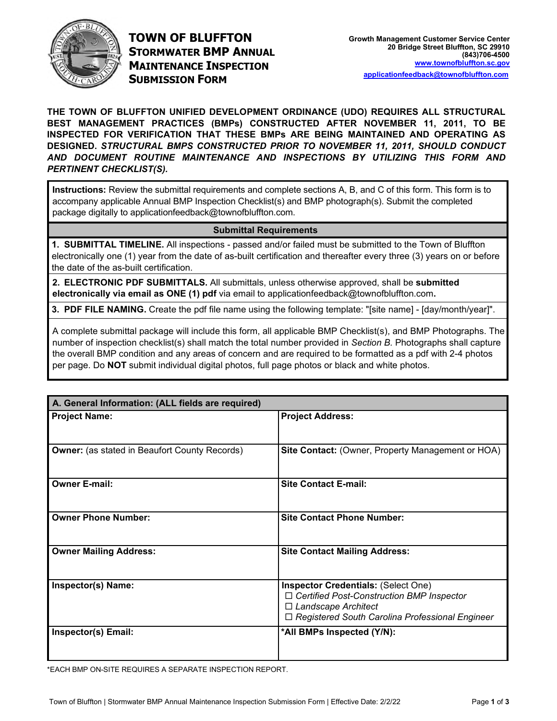

# **TOWN OF BLUFFTON STORMWATER BMP ANNUAL MAINTENANCE INSPECTION SUBMISSION FORM**

**THE TOWN OF BLUFFTON UNIFIED DEVELOPMENT ORDINANCE (UDO) REQUIRES ALL STRUCTURAL BEST MANAGEMENT PRACTICES (BMPs) CONSTRUCTED AFTER NOVEMBER 11, 2011, TO BE INSPECTED FOR VERIFICATION THAT THESE BMPs ARE BEING MAINTAINED AND OPERATING AS DESIGNED.** *STRUCTURAL BMPS CONSTRUCTED PRIOR TO NOVEMBER 11, 2011, SHOULD CONDUCT AND DOCUMENT ROUTINE MAINTENANCE AND INSPECTIONS BY UTILIZING THIS FORM AND PERTINENT CHECKLIST(S).*

**Instructions:** Review the submittal requirements and complete sections A, B, and C of this form. This form is to accompany applicable Annual BMP Inspection Checklist(s) and BMP photograph(s). Submit the completed package digitally to applicationfeedback@townofbluffton.com.

## **Submittal Requirements**

**1. SUBMITTAL TIMELINE.** All inspections - passed and/or failed must be submitted to the Town of Bluffton electronically one (1) year from the date of as-built certification and thereafter every three (3) years on or before the date of the as-built certification.

**2. ELECTRONIC PDF SUBMITTALS.** All submittals, unless otherwise approved, shall be **submitted electronically via email as ONE (1) pdf** via email to applicationfeedback@townofbluffton.com**.** 

**3. PDF FILE NAMING.** Create the pdf file name using the following template: "[site name] - [day/month/year]".

A complete submittal package will include this form, all applicable BMP Checklist(s), and BMP Photographs. The number of inspection checklist(s) shall match the total number provided in *Section B.* Photographs shall capture the overall BMP condition and any areas of concern and are required to be formatted as a pdf with 2-4 photos per page. Do **NOT** submit individual digital photos, full page photos or black and white photos.

| A. General Information: (ALL fields are required)    |                                                                                                                                                                              |  |  |
|------------------------------------------------------|------------------------------------------------------------------------------------------------------------------------------------------------------------------------------|--|--|
| <b>Project Name:</b>                                 | <b>Project Address:</b>                                                                                                                                                      |  |  |
| <b>Owner:</b> (as stated in Beaufort County Records) | <b>Site Contact: (Owner, Property Management or HOA)</b>                                                                                                                     |  |  |
| <b>Owner E-mail:</b>                                 | <b>Site Contact E-mail:</b>                                                                                                                                                  |  |  |
| <b>Owner Phone Number:</b>                           | <b>Site Contact Phone Number:</b>                                                                                                                                            |  |  |
| <b>Owner Mailing Address:</b>                        | <b>Site Contact Mailing Address:</b>                                                                                                                                         |  |  |
| Inspector(s) Name:                                   | <b>Inspector Credentials: (Select One)</b><br>□ Certified Post-Construction BMP Inspector<br>$\Box$ Landscape Architect<br>□ Registered South Carolina Professional Engineer |  |  |
| Inspector(s) Email:                                  | *All BMPs Inspected (Y/N):                                                                                                                                                   |  |  |

\*EACH BMP ON-SITE REQUIRES A SEPARATE INSPECTION REPORT.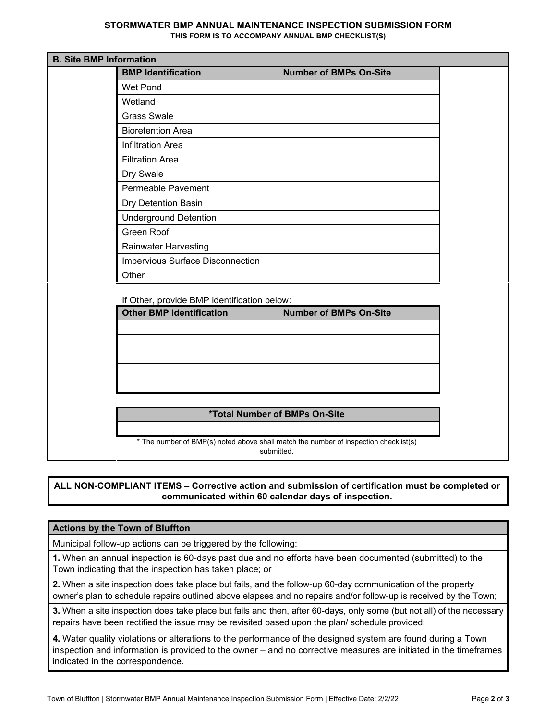#### **STORMWATER BMP ANNUAL MAINTENANCE INSPECTION SUBMISSION FORM THIS FORM IS TO ACCOMPANY ANNUAL BMP CHECKLIST(S)**

| <b>B. Site BMP Information</b> |                                                                                      |                               |  |
|--------------------------------|--------------------------------------------------------------------------------------|-------------------------------|--|
|                                | <b>BMP Identification</b>                                                            | <b>Number of BMPs On-Site</b> |  |
|                                | <b>Wet Pond</b>                                                                      |                               |  |
|                                | Wetland                                                                              |                               |  |
|                                | <b>Grass Swale</b>                                                                   |                               |  |
|                                | <b>Bioretention Area</b>                                                             |                               |  |
|                                | <b>Infiltration Area</b>                                                             |                               |  |
|                                | <b>Filtration Area</b>                                                               |                               |  |
|                                | Dry Swale                                                                            |                               |  |
|                                | Permeable Pavement                                                                   |                               |  |
|                                | Dry Detention Basin                                                                  |                               |  |
|                                | <b>Underground Detention</b>                                                         |                               |  |
|                                | Green Roof                                                                           |                               |  |
|                                | <b>Rainwater Harvesting</b>                                                          |                               |  |
|                                | Impervious Surface Disconnection                                                     |                               |  |
|                                | Other                                                                                |                               |  |
|                                |                                                                                      |                               |  |
|                                | If Other, provide BMP identification below:<br><b>Other BMP Identification</b>       | <b>Number of BMPs On-Site</b> |  |
|                                |                                                                                      |                               |  |
|                                |                                                                                      |                               |  |
|                                |                                                                                      |                               |  |
|                                |                                                                                      |                               |  |
|                                |                                                                                      |                               |  |
|                                |                                                                                      |                               |  |
|                                | *Total Number of BMPs On-Site                                                        |                               |  |
|                                |                                                                                      |                               |  |
|                                | * The number of BMP(s) noted above shall match the number of inspection checklist(s) |                               |  |
|                                | submitted.                                                                           |                               |  |

## **ALL NON-COMPLIANT ITEMS – Corrective action and submission of certification must be completed or communicated within 60 calendar days of inspection.**

### **Actions by the Town of Bluffton**

Municipal follow-up actions can be triggered by the following:

**1.** When an annual inspection is 60-days past due and no efforts have been documented (submitted) to the Town indicating that the inspection has taken place; or

**2.** When a site inspection does take place but fails, and the follow-up 60-day communication of the property owner's plan to schedule repairs outlined above elapses and no repairs and/or follow-up is received by the Town;

**3.** When a site inspection does take place but fails and then, after 60-days, only some (but not all) of the necessary repairs have been rectified the issue may be revisited based upon the plan/ schedule provided;

**4.** Water quality violations or alterations to the performance of the designed system are found during a Town inspection and information is provided to the owner – and no corrective measures are initiated in the timeframes indicated in the correspondence.